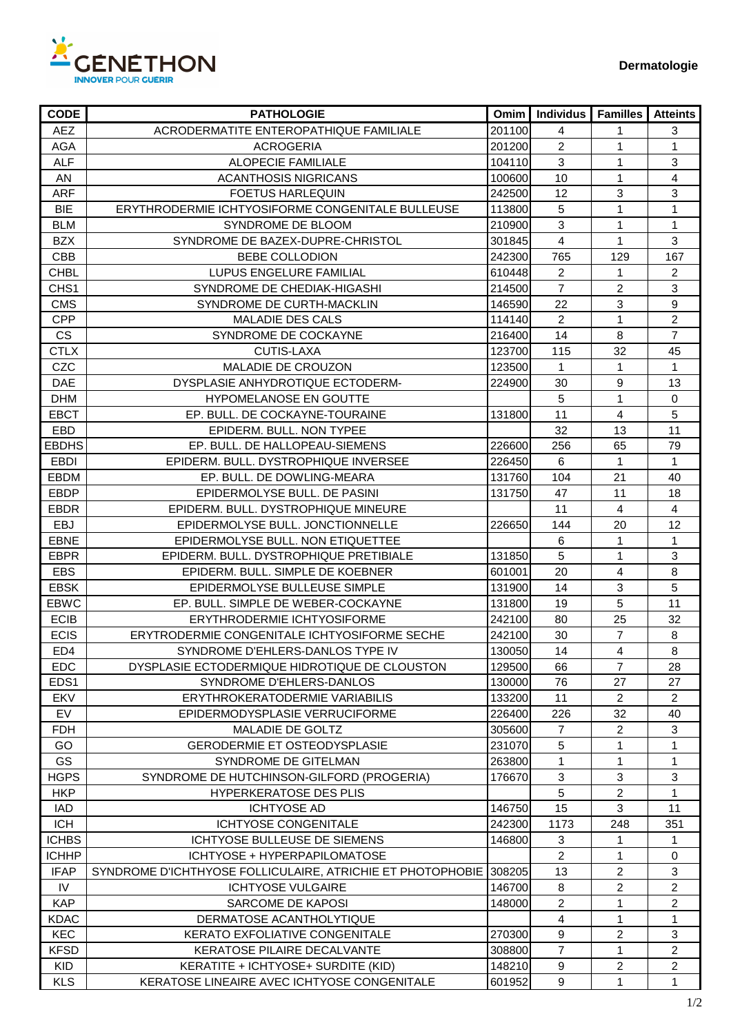

| <b>CODE</b>      | <b>PATHOLOGIE</b>                                          | Omim   | <b>Individus</b> | <b>Familles</b> | <b>Atteints</b> |
|------------------|------------------------------------------------------------|--------|------------------|-----------------|-----------------|
| <b>AEZ</b>       | ACRODERMATITE ENTEROPATHIQUE FAMILIALE                     | 201100 | 4                | 1               | $\mathbf{3}$    |
| AGA              | <b>ACROGERIA</b>                                           | 201200 | $\overline{2}$   | 1               | 1               |
| <b>ALF</b>       | <b>ALOPECIE FAMILIALE</b>                                  | 104110 | 3                | 1               | 3               |
| AN               | ACANTHOSIS NIGRICANS                                       | 100600 | 10               | 1               | 4               |
| <b>ARF</b>       | <b>FOETUS HARLEQUIN</b>                                    | 242500 | 12               | 3               | $\mathfrak{S}$  |
| <b>BIE</b>       | ERYTHRODERMIE ICHTYOSIFORME CONGENITALE BULLEUSE           | 113800 | 5                | 1               | 1               |
| <b>BLM</b>       | SYNDROME DE BLOOM                                          | 210900 | $\mathfrak{S}$   | 1               | $\mathbf{1}$    |
| <b>BZX</b>       | SYNDROME DE BAZEX-DUPRE-CHRISTOL                           | 301845 | $\overline{4}$   | $\mathbf 1$     | 3               |
| <b>CBB</b>       | BEBE COLLODION                                             | 242300 | 765              | 129             | 167             |
| <b>CHBL</b>      | LUPUS ENGELURE FAMILIAL                                    | 610448 | $\overline{2}$   | 1               | $\overline{2}$  |
| CHS <sub>1</sub> | SYNDROME DE CHEDIAK-HIGASHI                                | 214500 | $\overline{7}$   | 2               | 3               |
| <b>CMS</b>       | SYNDROME DE CURTH-MACKLIN                                  | 146590 | 22               | 3               | 9               |
| <b>CPP</b>       | <b>MALADIE DES CALS</b>                                    | 114140 | $\overline{2}$   | 1               | $\overline{c}$  |
| <b>CS</b>        | SYNDROME DE COCKAYNE                                       | 216400 | 14               | 8               | $\overline{7}$  |
| <b>CTLX</b>      | <b>CUTIS-LAXA</b>                                          | 123700 | 115              | 32              | 45              |
| CZC              | MALADIE DE CROUZON                                         | 123500 | $\mathbf{1}$     | 1               | 1               |
| DAE              | DYSPLASIE ANHYDROTIQUE ECTODERM-                           | 224900 | 30               | 9               | 13              |
| <b>DHM</b>       | <b>HYPOMELANOSE EN GOUTTE</b>                              |        | 5                | $\mathbf 1$     | 0               |
| EBCT             | EP. BULL. DE COCKAYNE-TOURAINE                             | 131800 | 11               | 4               | 5               |
| EBD              | EPIDERM. BULL. NON TYPEE                                   |        | 32               | 13              | 11              |
| <b>EBDHS</b>     | EP. BULL. DE HALLOPEAU-SIEMENS                             | 226600 | 256              | 65              | 79              |
| <b>EBDI</b>      | EPIDERM. BULL. DYSTROPHIQUE INVERSEE                       | 226450 | 6                | 1               | $\mathbf{1}$    |
| <b>EBDM</b>      | EP. BULL. DE DOWLING-MEARA                                 | 131760 | 104              | 21              | 40              |
| <b>EBDP</b>      | EPIDERMOLYSE BULL. DE PASINI                               | 131750 | 47               | 11              | 18              |
| <b>EBDR</b>      | EPIDERM, BULL, DYSTROPHIQUE MINEURE                        |        | 11               | 4               | $\overline{4}$  |
| EBJ              | EPIDERMOLYSE BULL. JONCTIONNELLE                           | 226650 | 144              | 20              | 12              |
| <b>EBNE</b>      | EPIDERMOLYSE BULL. NON ETIQUETTEE                          |        | 6                | 1               | 1               |
| <b>EBPR</b>      | EPIDERM. BULL. DYSTROPHIQUE PRETIBIALE                     | 131850 | 5                | 1               | 3               |
| <b>EBS</b>       | EPIDERM. BULL. SIMPLE DE KOEBNER                           | 601001 | 20               | 4               | 8               |
| <b>EBSK</b>      | EPIDERMOLYSE BULLEUSE SIMPLE                               | 131900 | 14               | 3               | 5               |
| <b>EBWC</b>      | EP. BULL. SIMPLE DE WEBER-COCKAYNE                         | 131800 | 19               | 5               | 11              |
| <b>ECIB</b>      | ERYTHRODERMIE ICHTYOSIFORME                                | 242100 | 80               | 25              | 32              |
| <b>ECIS</b>      | ERYTRODERMIE CONGENITALE ICHTYOSIFORME SECHE               | 242100 | 30               | $\overline{7}$  | $\,8\,$         |
| ED <sub>4</sub>  | SYNDROME D'EHLERS-DANLOS TYPE IV                           | 130050 | 14               | 4               | 8               |
| <b>EDC</b>       | DYSPLASIE ECTODERMIQUE HIDROTIQUE DE CLOUSTON              | 129500 | 66               | 7               | 28              |
| EDS <sub>1</sub> | SYNDROME D'EHLERS-DANLOS                                   | 130000 | 76               | 27              | 27              |
| EKV              | ERYTHROKERATODERMIE VARIABILIS                             | 133200 | 11               | $\overline{2}$  | $\overline{2}$  |
| EV               | EPIDERMODYSPLASIE VERRUCIFORME                             | 226400 | 226              | 32              | 40              |
| <b>FDH</b>       | MALADIE DE GOLTZ                                           | 305600 | $\overline{7}$   | $\overline{2}$  | 3               |
| GO               | <b>GERODERMIE ET OSTEODYSPLASIE</b>                        | 231070 | 5                | 1               | $\mathbf{1}$    |
| GS               | SYNDROME DE GITELMAN                                       | 263800 | 1                | 1               | 1               |
| <b>HGPS</b>      | SYNDROME DE HUTCHINSON-GILFORD (PROGERIA)                  | 176670 | 3                | 3               | 3               |
| <b>HKP</b>       | HYPERKERATOSE DES PLIS                                     |        | 5                | 2               | $\mathbf{1}$    |
| IAD              | <b>ICHTYOSE AD</b>                                         | 146750 | 15               | 3               | 11              |
| <b>ICH</b>       | <b>ICHTYOSE CONGENITALE</b>                                | 242300 | 1173             | 248             | 351             |
| <b>ICHBS</b>     | ICHTYOSE BULLEUSE DE SIEMENS                               | 146800 | 3                | 1               | 1               |
| <b>ICHHP</b>     | ICHTYOSE + HYPERPAPILOMATOSE                               |        | $\overline{2}$   | $\mathbf 1$     | 0               |
| <b>IFAP</b>      | SYNDROME D'ICHTHYOSE FOLLICULAIRE, ATRICHIE ET PHOTOPHOBIE | 308205 | 13               | 2               | $\mathfrak{B}$  |
| IV.              | <b>ICHTYOSE VULGAIRE</b>                                   | 146700 | 8                | 2               | $\overline{2}$  |
| <b>KAP</b>       | SARCOME DE KAPOSI                                          | 148000 | $\overline{2}$   | 1               | 2               |
| <b>KDAC</b>      | DERMATOSE ACANTHOLYTIQUE                                   |        | $\overline{4}$   | 1               | $\mathbf{1}$    |
| KEC              | KERATO EXFOLIATIVE CONGENITALE                             | 270300 | 9                | 2               | 3               |
| <b>KFSD</b>      | KERATOSE PILAIRE DECALVANTE                                | 308800 | $\overline{7}$   | 1               | $\overline{2}$  |
| <b>KID</b>       | KERATITE + ICHTYOSE+ SURDITE (KID)                         | 148210 | 9                | $\overline{c}$  | 2               |
| <b>KLS</b>       | KERATOSE LINEAIRE AVEC ICHTYOSE CONGENITALE                | 601952 | 9                | $\mathbf 1$     | $\mathbf{1}$    |